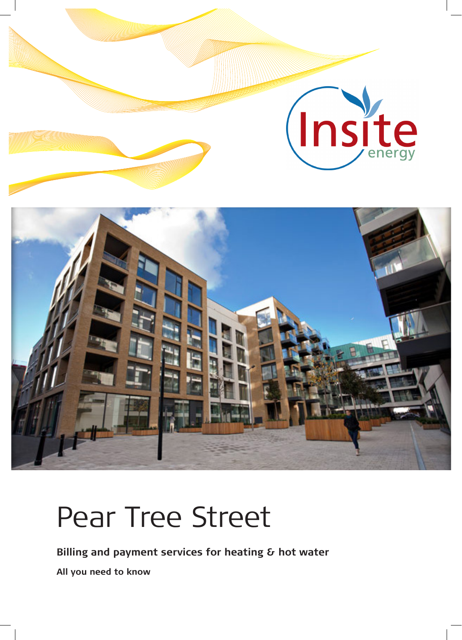

# Pear Tree Street

**Billing and payment services for heating & hot water All you need to know**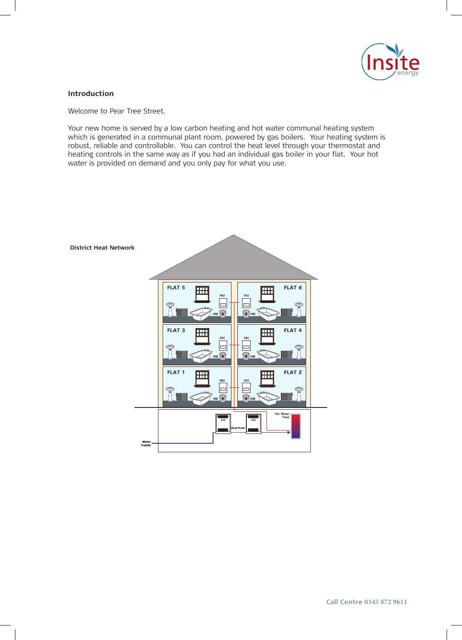

#### **Introduction**

Welcome to Pear Tree Street.

Your new home is served by a low carbon heating and hot water communal heating system which is generated in a communal plant room, powered by gas boilers. Your heating system is robust, reliable and controllable. You can control the heat level through your thermostat and heating controls in the same way as if you had an individual gas boiler in your flat. Your hot water is provided on demand and you only pay for what you use.

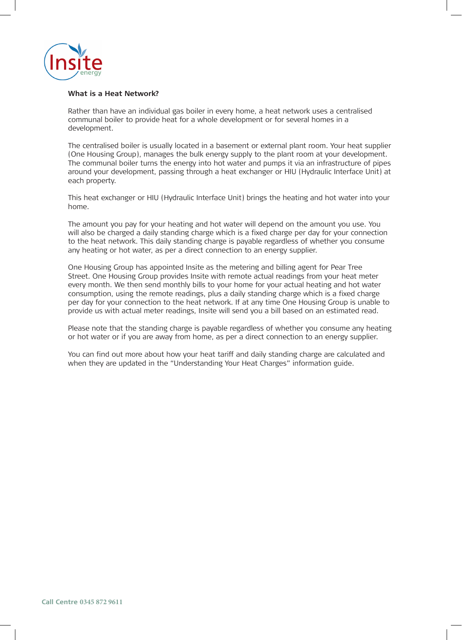

#### **What is a Heat Network?**

Rather than have an individual gas boiler in every home, a heat network uses a centralised communal boiler to provide heat for a whole development or for several homes in a development.

The centralised boiler is usually located in a basement or external plant room. Your heat supplier (One Housing Group), manages the bulk energy supply to the plant room at your development. The communal boiler turns the energy into hot water and pumps it via an infrastructure of pipes around your development, passing through a heat exchanger or HIU (Hydraulic Interface Unit) at each property.

This heat exchanger or HIU (Hydraulic Interface Unit) brings the heating and hot water into your home.

The amount you pay for your heating and hot water will depend on the amount you use. You will also be charged a daily standing charge which is a fixed charge per day for your connection to the heat network. This daily standing charge is payable regardless of whether you consume any heating or hot water, as per a direct connection to an energy supplier.

One Housing Group has appointed Insite as the metering and billing agent for Pear Tree Street. One Housing Group provides Insite with remote actual readings from your heat meter every month. We then send monthly bills to your home for your actual heating and hot water consumption, using the remote readings, plus a daily standing charge which is a fixed charge per day for your connection to the heat network. If at any time One Housing Group is unable to provide us with actual meter readings, Insite will send you a bill based on an estimated read.

Please note that the standing charge is payable regardless of whether you consume any heating or hot water or if you are away from home, as per a direct connection to an energy supplier.

You can find out more about how your heat tariff and daily standing charge are calculated and when they are updated in the "Understanding Your Heat Charges" information guide.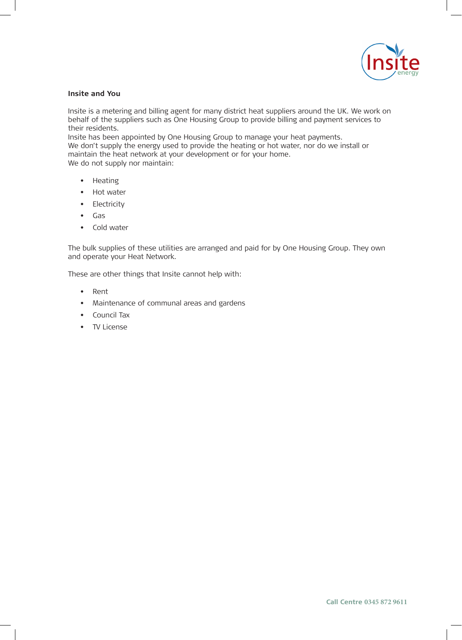

#### **Insite and You**

Insite is a metering and billing agent for many district heat suppliers around the UK. We work on behalf of the suppliers such as One Housing Group to provide billing and payment services to their residents.

Insite has been appointed by One Housing Group to manage your heat payments. We don't supply the energy used to provide the heating or hot water, nor do we install or maintain the heat network at your development or for your home. We do not supply nor maintain:

- Heating
- Hot water
- Electricity
- Gas
- Cold water

The bulk supplies of these utilities are arranged and paid for by One Housing Group. They own and operate your Heat Network.

These are other things that Insite cannot help with:

- Rent
- Maintenance of communal areas and gardens
- Council Tax
- TV License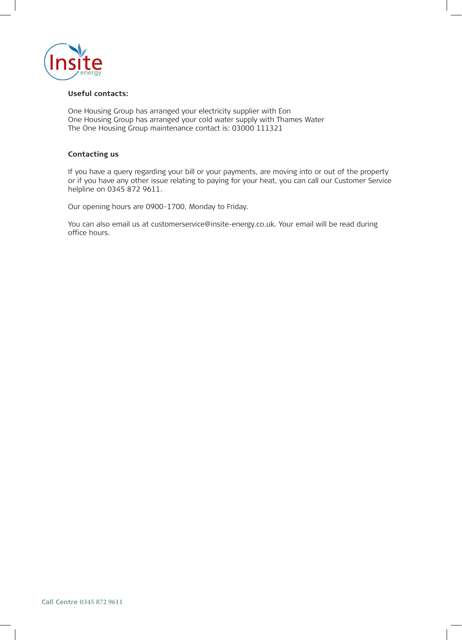

#### **Useful contacts:**

One Housing Group has arranged your electricity supplier with Eon One Housing Group has arranged your cold water supply with Thames Water The One Housing Group maintenance contact is: 03000 111321

### **Contacting us**

If you have a query regarding your bill or your payments, are moving into or out of the property or if you have any other issue relating to paying for your heat, you can call our Customer Service helpline on 0345 872 9611.

Our opening hours are 0900-1700, Monday to Friday.

You can also email us at customerservice@insite-energy.co.uk. Your email will be read during office hours.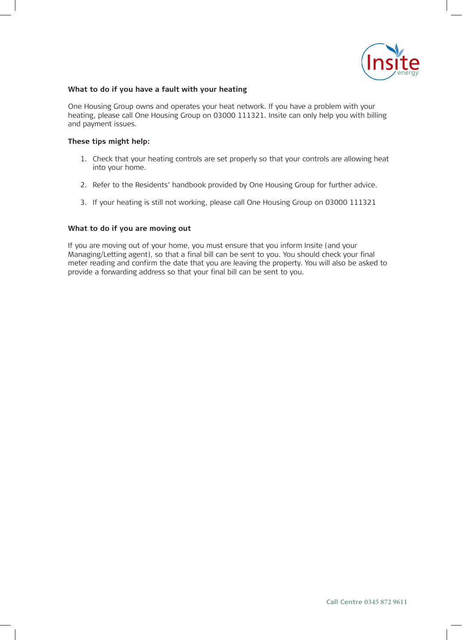

#### **What to do if you have a fault with your heating**

One Housing Group owns and operates your heat network. If you have a problem with your heating, please call One Housing Group on 03000 111321. Insite can only help you with billing and payment issues.

#### **These tips might help:**

- 1. Check that your heating controls are set properly so that your controls are allowing heat into your home.
- 2. Refer to the Residents' handbook provided by One Housing Group for further advice.
- 3. If your heating is still not working, please call One Housing Group on 03000 111321

#### **What to do if you are moving out**

If you are moving out of your home, you must ensure that you inform Insite (and your Managing/Letting agent), so that a final bill can be sent to you. You should check your final meter reading and confirm the date that you are leaving the property. You will also be asked to provide a forwarding address so that your final bill can be sent to you.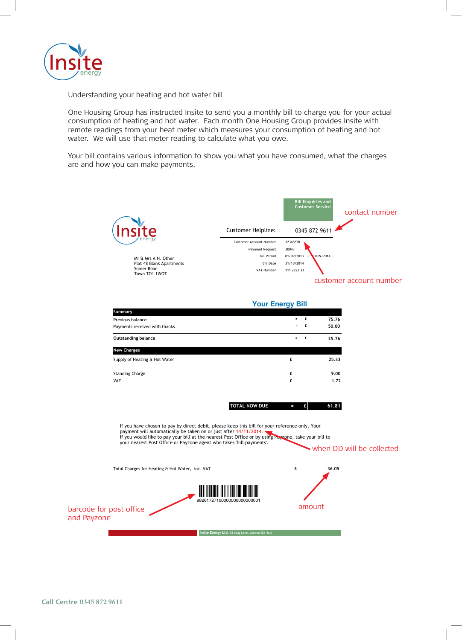

Understanding your heating and hot water bill

One Housing Group has instructed Insite to send you a monthly bill to charge you for your actual consumption of heating and hot water. Each month One Housing Group provides Insite with remote readings from your heat meter which measures your consumption of heating and hot water. We will use that meter reading to calculate what you owe.

Your bill contains various information to show you what you have consumed, what the charges are and how you can make payments.

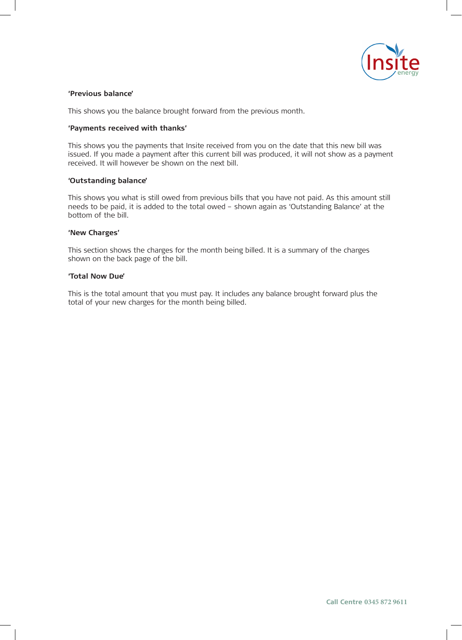

#### **'Previous balance'**

This shows you the balance brought forward from the previous month.

#### **'Payments received with thanks'**

This shows you the payments that Insite received from you on the date that this new bill was issued. If you made a payment after this current bill was produced, it will not show as a payment received. It will however be shown on the next bill.

#### **'Outstanding balance'**

This shows you what is still owed from previous bills that you have not paid. As this amount still needs to be paid, it is added to the total owed – shown again as 'Outstanding Balance' at the bottom of the bill.

#### **'New Charges'**

This section shows the charges for the month being billed. It is a summary of the charges shown on the back page of the bill.

#### **'Total Now Due'**

This is the total amount that you must pay. It includes any balance brought forward plus the total of your new charges for the month being billed.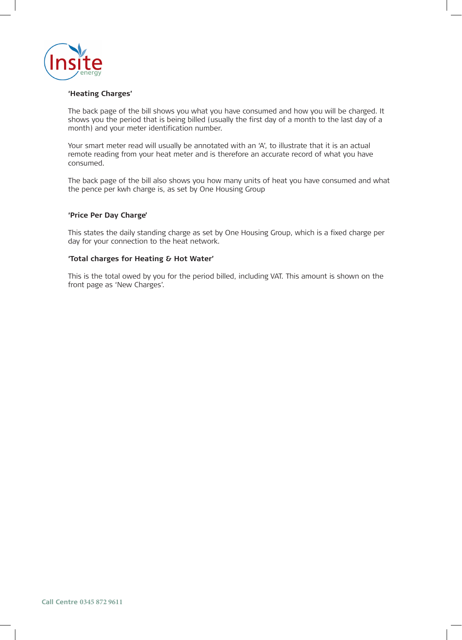

#### **'Heating Charges'**

The back page of the bill shows you what you have consumed and how you will be charged. It shows you the period that is being billed (usually the first day of a month to the last day of a month) and your meter identification number.

Your smart meter read will usually be annotated with an 'A', to illustrate that it is an actual remote reading from your heat meter and is therefore an accurate record of what you have consumed.

The back page of the bill also shows you how many units of heat you have consumed and what the pence per kwh charge is, as set by One Housing Group

#### **'Price Per Day Charge'**

This states the daily standing charge as set by One Housing Group, which is a fixed charge per day for your connection to the heat network.

#### **'Total charges for Heating & Hot Water'**

This is the total owed by you for the period billed, including VAT. This amount is shown on the front page as 'New Charges'.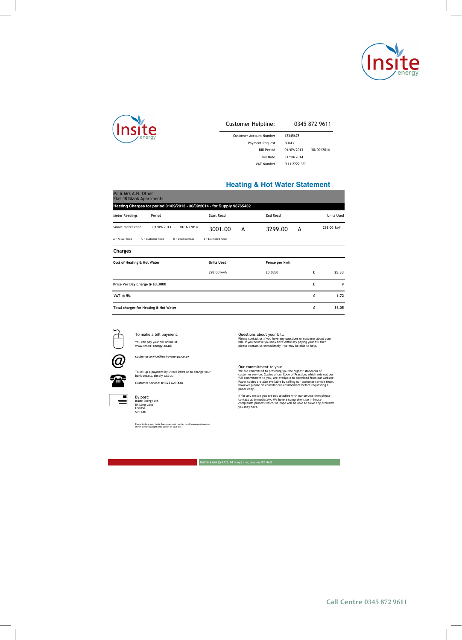



#### Customer Helpline: 01322 623 XXX 0345 872 9611

| Customer Account Number | 12345678                |
|-------------------------|-------------------------|
| <b>Payment Request</b>  | 30043                   |
| <b>Bill Period</b>      | 01/09/2013 - 30/09/2014 |
| <b>Bill Date</b>        | 31/10/2014              |
| VAT Number              | "111 2222 33"           |

#### **Heating & Hot Water Statement**

| Mr & Mrs A.N. Other<br><b>Flat 48 Blank Apartments</b>                   |                    |   |               |   |            |
|--------------------------------------------------------------------------|--------------------|---|---------------|---|------------|
| Heating Charges for period 01/09/2013 - 30/09/2014 - for Supply 98765432 |                    |   |               |   |            |
| <b>Meter Readings</b><br>Period                                          | Start Read         |   | End Read      |   | Units Used |
| Smart meter read<br>$01/09/2013 -$<br>30/09/2014                         | 3001.00            | A | 3299.00       | A | 298.00 kwh |
| A - Actual Read<br>C = Customer Read<br>D = Deemed Read                  | E - Estimated Read |   |               |   |            |
| Charges                                                                  |                    |   |               |   |            |
| Cost of Heating & Hot Water                                              | <b>Units Used</b>  |   | Pence per kwh |   |            |
|                                                                          | 298.00 kwh         |   | £0.0850       |   | 25.33<br>£ |
| Price Per Day Charge @ £0.3000                                           |                    |   |               |   | £<br>9     |
| VAT @ 5%                                                                 |                    |   |               |   | 1.72<br>£  |
| Total charges for Heating & Hot Water                                    |                    |   |               |   | £<br>36.05 |



 $\widehat{a}$ 

т

To make a bill payment: You can pay your bill online at: **www.insite-energy.co.uk**

**customerservice@insite-energy.co.uk**

To set up a payment by Direct Debit or to change your bank details, simply call us. Customer Service: **01322 623 XXX**



By post: Insite Energy Ltd 84 Long Lane London SE1 4AU

Please include your Insite Energy account number on all correspondence (as shown in the top right hand corner of your bill.)

Questions about your bill: Please contact us if you have any questions or concerns about your bill. If you believe you may have difficulty paying your bill then please contact us immediately – we may be able to help.

Our commitment to you:<br>We are committed to providing you the highest standards of<br>customer service. Copies of our Code of Practice, which sets out our<br>full commitment to you, are available to download from our webstie-<br>Pap

If for any reason you are not satisfied with our service then please contact us immediately. We have a comprehensive in-house complaints process which we hope will be able to solve any problems you may have.

**Insite Energy Ltd**, 84 Long Lane, London SE1 4AU **Insite Energy Ltd**, 84 Long Lane, London SE1 4AU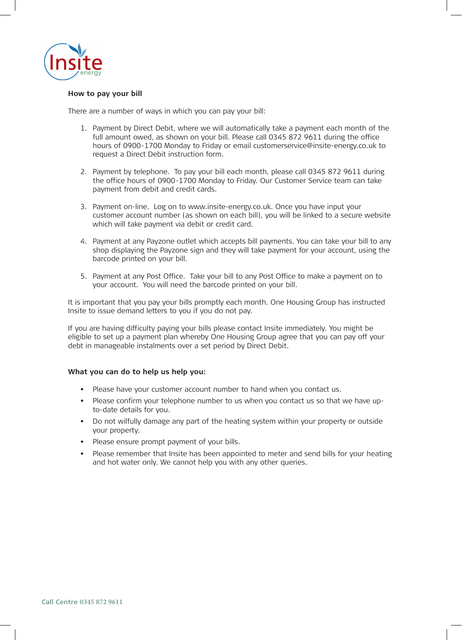

#### **How to pay your bill**

There are a number of ways in which you can pay your bill:

- 1. Payment by Direct Debit, where we will automatically take a payment each month of the full amount owed, as shown on your bill. Please call 0345 872 9611 during the office hours of 0900-1700 Monday to Friday or email customerservice@insite-energy.co.uk to request a Direct Debit instruction form.
- 2. Payment by telephone. To pay your bill each month, please call 0345 872 9611 during the office hours of 0900-1700 Monday to Friday. Our Customer Service team can take payment from debit and credit cards.
- 3. Payment on-line. Log on to www.insite-energy.co.uk. Once you have input your customer account number (as shown on each bill), you will be linked to a secure website which will take payment via debit or credit card.
- 4. Payment at any Payzone outlet which accepts bill payments. You can take your bill to any shop displaying the Payzone sign and they will take payment for your account, using the barcode printed on your bill.
- 5. Payment at any Post Office. Take your bill to any Post Office to make a payment on to your account. You will need the barcode printed on your bill.

It is important that you pay your bills promptly each month. One Housing Group has instructed Insite to issue demand letters to you if you do not pay.

If you are having difficulty paying your bills please contact Insite immediately. You might be eligible to set up a payment plan whereby One Housing Group agree that you can pay off your debt in manageable instalments over a set period by Direct Debit.

#### **What you can do to help us help you:**

- Please have your customer account number to hand when you contact us.
- Please confirm your telephone number to us when you contact us so that we have upto-date details for you.
- Do not wilfully damage any part of the heating system within your property or outside your property.
- Please ensure prompt payment of your bills.
- Please remember that Insite has been appointed to meter and send bills for your heating and hot water only. We cannot help you with any other queries.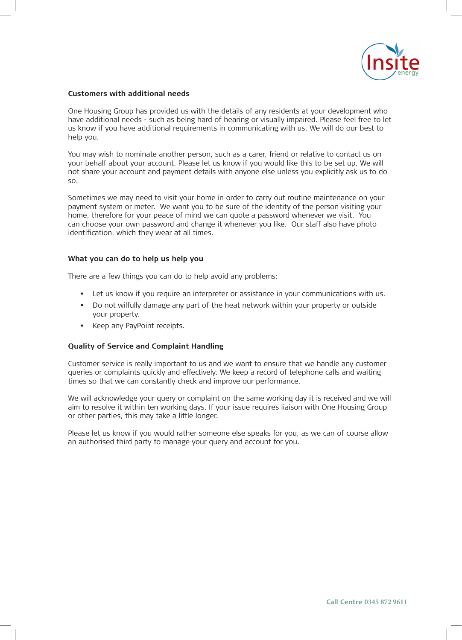

#### **Customers with additional needs**

One Housing Group has provided us with the details of any residents at your development who have additional needs - such as being hard of hearing or visually impaired. Please feel free to let us know if you have additional requirements in communicating with us. We will do our best to help you.

You may wish to nominate another person, such as a carer, friend or relative to contact us on your behalf about your account. Please let us know if you would like this to be set up. We will not share your account and payment details with anyone else unless you explicitly ask us to do so.

Sometimes we may need to visit your home in order to carry out routine maintenance on your payment system or meter. We want you to be sure of the identity of the person visiting your home, therefore for your peace of mind we can quote a password whenever we visit. You can choose your own password and change it whenever you like. Our staff also have photo identification, which they wear at all times.

#### **What you can do to help us help you**

There are a few things you can do to help avoid any problems:

- Let us know if you require an interpreter or assistance in your communications with us.
- Do not wilfully damage any part of the heat network within your property or outside your property.
- Keep any PayPoint receipts.

#### **Quality of Service and Complaint Handling**

Customer service is really important to us and we want to ensure that we handle any customer queries or complaints quickly and effectively. We keep a record of telephone calls and waiting times so that we can constantly check and improve our performance.

We will acknowledge your query or complaint on the same working day it is received and we will aim to resolve it within ten working days. If your issue requires liaison with One Housing Group or other parties, this may take a little longer.

Please let us know if you would rather someone else speaks for you, as we can of course allow an authorised third party to manage your query and account for you.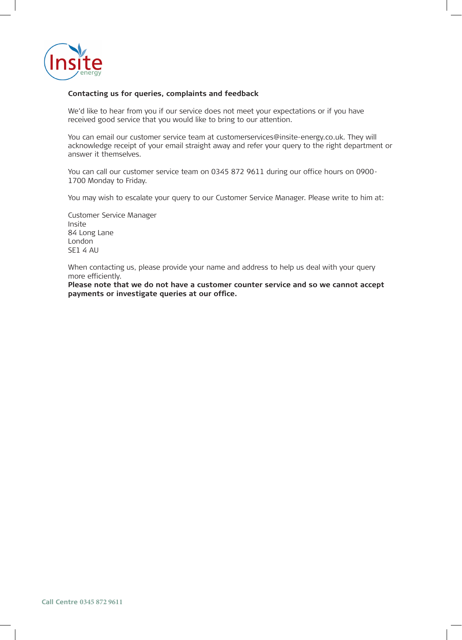

#### **Contacting us for queries, complaints and feedback**

We'd like to hear from you if our service does not meet your expectations or if you have received good service that you would like to bring to our attention.

You can email our customer service team at customerservices@insite-energy.co.uk. They will acknowledge receipt of your email straight away and refer your query to the right department or answer it themselves.

You can call our customer service team on 0345 872 9611 during our office hours on 0900- 1700 Monday to Friday.

You may wish to escalate your query to our Customer Service Manager. Please write to him at:

Customer Service Manager Insite 84 Long Lane London SE1 4 AU

When contacting us, please provide your name and address to help us deal with your query more efficiently.

**Please note that we do not have a customer counter service and so we cannot accept payments or investigate queries at our office.**